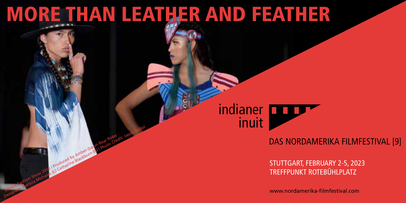## More than Leather and Feather

Produced by Amber-Dawn

indianer inuit

## DAS NORDAMERIKA FILMFESTIVAL [9]

STUTTGART, FebrUARY 2-5, 2023 Treffpunkt Rotebühlplatz We are the patricial Michales (L) Catherine Blackburn (R) | Photo Credit: Jason Ordaz (L) Catherine Blackburn (R) | Photo Credit: Jason Ordaz (L) Catherine Credit: Jason Ordaz (L) Catherine Blackburn (R) | Photo Credit: Ja